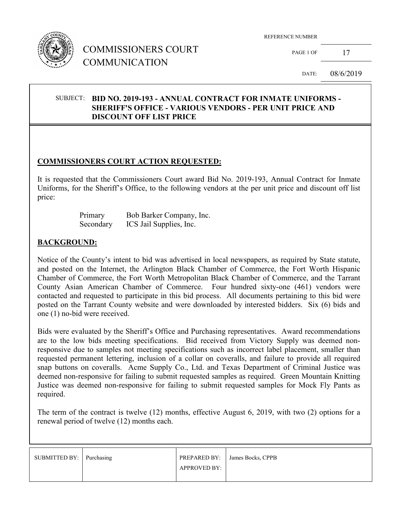

## COMMISSIONERS COURT COMMUNICATION

REFERENCE NUMBER

PAGE 1 OF  $17$ 

DATE: 08/6/2019

#### SUBJECT: **BID NO. 2019-193 - ANNUAL CONTRACT FOR INMATE UNIFORMS - SHERIFF'S OFFICE - VARIOUS VENDORS - PER UNIT PRICE AND DISCOUNT OFF LIST PRICE**

### **COMMISSIONERS COURT ACTION REQUESTED:**

It is requested that the Commissioners Court award Bid No. 2019-193, Annual Contract for Inmate Uniforms, for the Sheriff's Office, to the following vendors at the per unit price and discount off list price:

| Primary   | Bob Barker Company, Inc. |
|-----------|--------------------------|
| Secondary | ICS Jail Supplies, Inc.  |

#### **BACKGROUND:**

Notice of the County's intent to bid was advertised in local newspapers, as required by State statute, and posted on the Internet, the Arlington Black Chamber of Commerce, the Fort Worth Hispanic Chamber of Commerce, the Fort Worth Metropolitan Black Chamber of Commerce, and the Tarrant County Asian American Chamber of Commerce. Four hundred sixty-one (461) vendors were contacted and requested to participate in this bid process. All documents pertaining to this bid were posted on the Tarrant County website and were downloaded by interested bidders. Six (6) bids and one (1) no-bid were received.

Bids were evaluated by the Sheriff's Office and Purchasing representatives. Award recommendations are to the low bids meeting specifications. Bid received from Victory Supply was deemed nonresponsive due to samples not meeting specifications such as incorrect label placement, smaller than requested permanent lettering, inclusion of a collar on coveralls, and failure to provide all required snap buttons on coveralls. Acme Supply Co., Ltd. and Texas Department of Criminal Justice was deemed non-responsive for failing to submit requested samples as required. Green Mountain Knitting Justice was deemed non-responsive for failing to submit requested samples for Mock Fly Pants as required.

The term of the contract is twelve (12) months, effective August 6, 2019, with two (2) options for a renewal period of twelve (12) months each.

| SUBMITTED BY: Purchasing |                     | PREPARED BY: James Bocks, CPPB |
|--------------------------|---------------------|--------------------------------|
|                          | <b>APPROVED BY:</b> |                                |